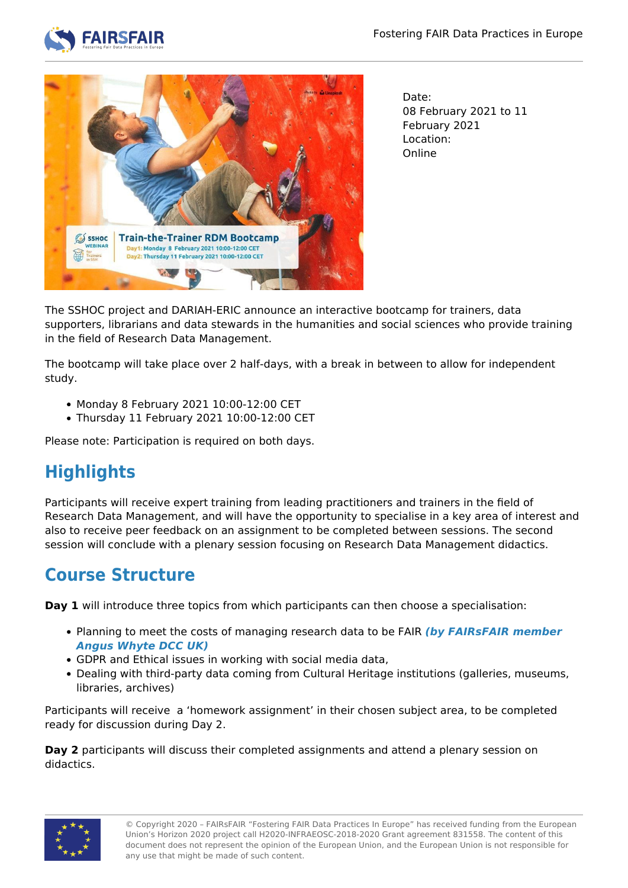



Date: 08 February 2021 to 11 February 2021 Location: Online

The SSHOC project and DARIAH-ERIC announce an interactive bootcamp for trainers, data supporters, librarians and data stewards in the humanities and social sciences who provide training in the field of Research Data Management.

The bootcamp will take place over 2 half-days, with a break in between to allow for independent study.

- Monday 8 February 2021 10:00-12:00 CET
- Thursday 11 February 2021 10:00-12:00 CET

Please note: Participation is required on both days.

# **Highlights**

Participants will receive expert training from leading practitioners and trainers in the field of Research Data Management, and will have the opportunity to specialise in a key area of interest and also to receive peer feedback on an assignment to be completed between sessions. The second session will conclude with a plenary session focusing on Research Data Management didactics.

### **Course Structure**

**Day 1** will introduce three topics from which participants can then choose a specialisation:

- Planning to meet the costs of managing research data to be FAIR *(by FAIRsFAIR member Angus Whyte DCC UK)*
- GDPR and Ethical issues in working with social media data,
- Dealing with third-party data coming from Cultural Heritage institutions (galleries, museums, libraries, archives)

Participants will receive a 'homework assignment' in their chosen subject area, to be completed ready for discussion during Day 2.

**Day 2** participants will discuss their completed assignments and attend a plenary session on didactics.